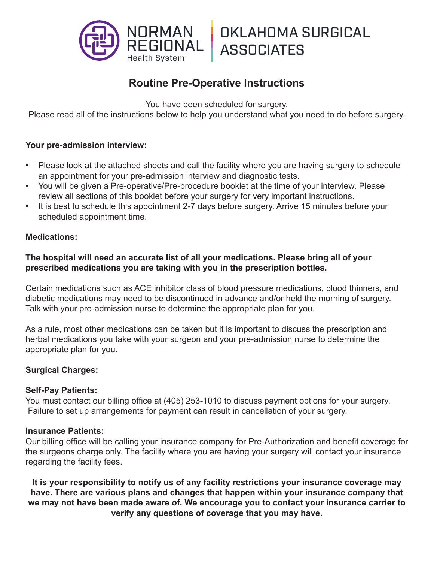

# **Routine Pre-Operative Instructions**

You have been scheduled for surgery.

Please read all of the instructions below to help you understand what you need to do before surgery.

### **Your pre-admission interview:**

- Please look at the attached sheets and call the facility where you are having surgery to schedule an appointment for your pre-admission interview and diagnostic tests.
- You will be given a Pre-operative/Pre-procedure booklet at the time of your interview. Please review all sections of this booklet before your surgery for very important instructions.
- It is best to schedule this appointment 2-7 days before surgery. Arrive 15 minutes before your scheduled appointment time.

### **Medications:**

### **The hospital will need an accurate list of all your medications. Please bring all of your prescribed medications you are taking with you in the prescription bottles.**

Certain medications such as ACE inhibitor class of blood pressure medications, blood thinners, and diabetic medications may need to be discontinued in advance and/or held the morning of surgery. Talk with your pre-admission nurse to determine the appropriate plan for you.

As a rule, most other medications can be taken but it is important to discuss the prescription and herbal medications you take with your surgeon and your pre-admission nurse to determine the appropriate plan for you.

### **Surgical Charges:**

#### **Self-Pay Patients:**

You must contact our billing office at (405) 253-1010 to discuss payment options for your surgery. Failure to set up arrangements for payment can result in cancellation of your surgery.

#### **Insurance Patients:**

Our billing office will be calling your insurance company for Pre-Authorization and benefit coverage for the surgeons charge only. The facility where you are having your surgery will contact your insurance regarding the facility fees.

**It is your responsibility to notify us of any facility restrictions your insurance coverage may have. There are various plans and changes that happen within your insurance company that we may not have been made aware of. We encourage you to contact your insurance carrier to verify any questions of coverage that you may have.**